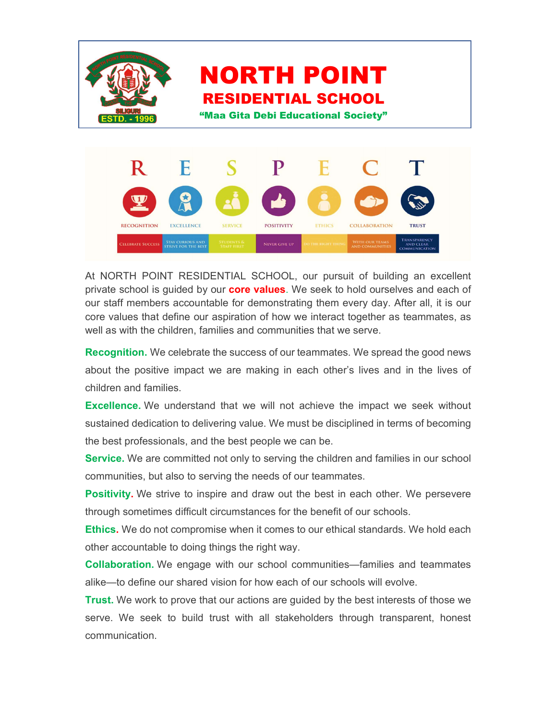

At NORTH POINT RESIDENTIAL SCHOOL, our pursuit of building an excellent private school is guided by our **core values**. We seek to hold ourselves and each of our staff members accountable for demonstrating them every day. After all, it is our core values that define our aspiration of how we interact together as teammates, as well as with the children, families and communities that we serve.

Recognition. We celebrate the success of our teammates. We spread the good news about the positive impact we are making in each other's lives and in the lives of children and families.

Excellence. We understand that we will not achieve the impact we seek without sustained dedication to delivering value. We must be disciplined in terms of becoming the best professionals, and the best people we can be.

**Service.** We are committed not only to serving the children and families in our school communities, but also to serving the needs of our teammates.

Positivity. We strive to inspire and draw out the best in each other. We persevere through sometimes difficult circumstances for the benefit of our schools.

Ethics. We do not compromise when it comes to our ethical standards. We hold each other accountable to doing things the right way.

Collaboration. We engage with our school communities—families and teammates alike—to define our shared vision for how each of our schools will evolve.

**Trust.** We work to prove that our actions are guided by the best interests of those we serve. We seek to build trust with all stakeholders through transparent, honest communication.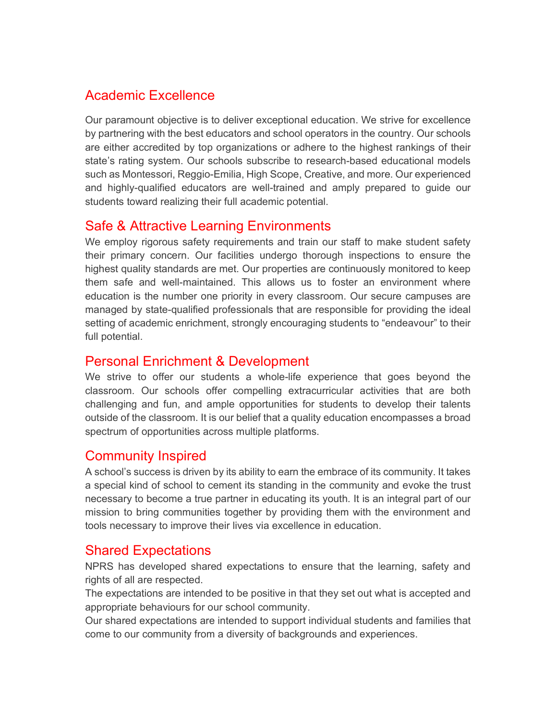### Academic Excellence

Our paramount objective is to deliver exceptional education. We strive for excellence by partnering with the best educators and school operators in the country. Our schools are either accredited by top organizations or adhere to the highest rankings of their state's rating system. Our schools subscribe to research-based educational models such as Montessori, Reggio-Emilia, High Scope, Creative, and more. Our experienced and highly-qualified educators are well-trained and amply prepared to guide our students toward realizing their full academic potential.

# Safe & Attractive Learning Environments

We employ rigorous safety requirements and train our staff to make student safety their primary concern. Our facilities undergo thorough inspections to ensure the highest quality standards are met. Our properties are continuously monitored to keep them safe and well-maintained. This allows us to foster an environment where education is the number one priority in every classroom. Our secure campuses are managed by state-qualified professionals that are responsible for providing the ideal setting of academic enrichment, strongly encouraging students to "endeavour" to their full potential.

### Personal Enrichment & Development

We strive to offer our students a whole-life experience that goes beyond the classroom. Our schools offer compelling extracurricular activities that are both challenging and fun, and ample opportunities for students to develop their talents outside of the classroom. It is our belief that a quality education encompasses a broad spectrum of opportunities across multiple platforms.

### Community Inspired

A school's success is driven by its ability to earn the embrace of its community. It takes a special kind of school to cement its standing in the community and evoke the trust necessary to become a true partner in educating its youth. It is an integral part of our mission to bring communities together by providing them with the environment and tools necessary to improve their lives via excellence in education.

### Shared Expectations

NPRS has developed shared expectations to ensure that the learning, safety and rights of all are respected.

The expectations are intended to be positive in that they set out what is accepted and appropriate behaviours for our school community.

Our shared expectations are intended to support individual students and families that come to our community from a diversity of backgrounds and experiences.